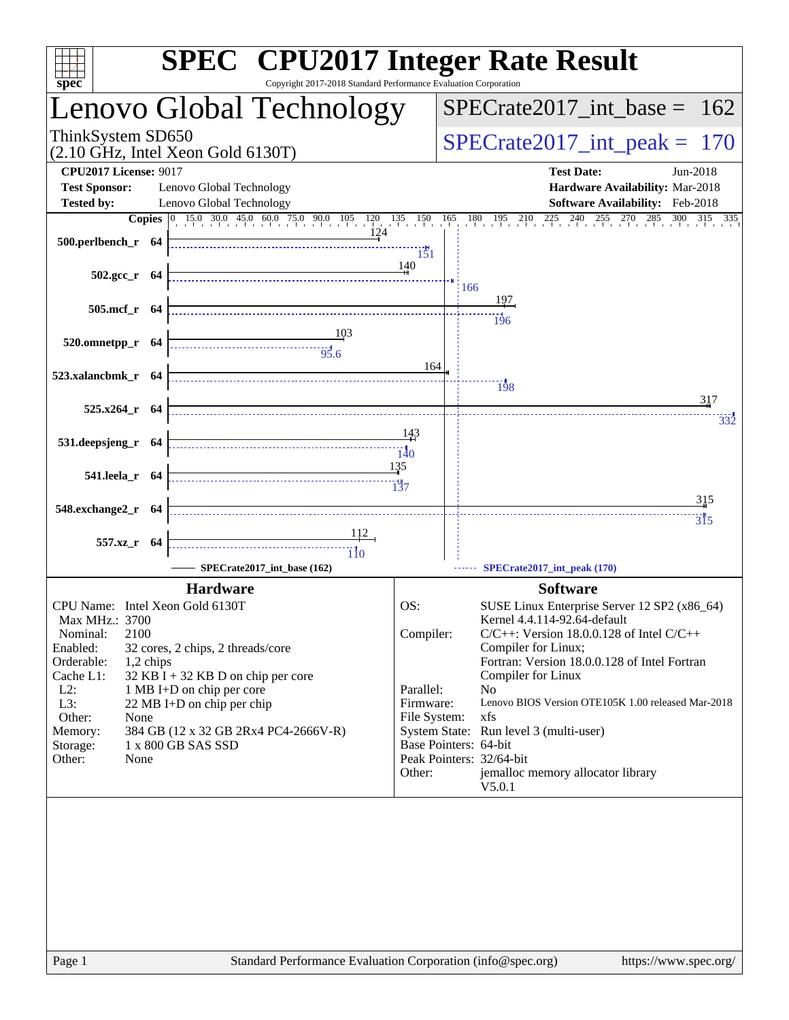| $spec^*$                                                                                                                                                                                              | <b>SPEC<sup>®</sup></b> CPU2017 Integer Rate Result<br>Copyright 2017-2018 Standard Performance Evaluation Corporation                                                                             |                                                                      |                                                                                                                                                                                                                                                                                                                                                                                                                                                         |            |  |  |  |
|-------------------------------------------------------------------------------------------------------------------------------------------------------------------------------------------------------|----------------------------------------------------------------------------------------------------------------------------------------------------------------------------------------------------|----------------------------------------------------------------------|---------------------------------------------------------------------------------------------------------------------------------------------------------------------------------------------------------------------------------------------------------------------------------------------------------------------------------------------------------------------------------------------------------------------------------------------------------|------------|--|--|--|
|                                                                                                                                                                                                       | Lenovo Global Technology                                                                                                                                                                           | $SPECrate2017\_int\_base = 162$                                      |                                                                                                                                                                                                                                                                                                                                                                                                                                                         |            |  |  |  |
| ThinkSystem SD650                                                                                                                                                                                     | $(2.10 \text{ GHz}, \text{Intel Xeon Gold } 6130 \text{T})$                                                                                                                                        | $SPECrate2017\_int\_peak = 170$                                      |                                                                                                                                                                                                                                                                                                                                                                                                                                                         |            |  |  |  |
| <b>CPU2017 License: 9017</b><br><b>Test Sponsor:</b>                                                                                                                                                  | Lenovo Global Technology                                                                                                                                                                           |                                                                      | <b>Test Date:</b><br>Jun-2018<br>Hardware Availability: Mar-2018                                                                                                                                                                                                                                                                                                                                                                                        |            |  |  |  |
| <b>Tested by:</b>                                                                                                                                                                                     | Lenovo Global Technology                                                                                                                                                                           |                                                                      | Software Availability: Feb-2018                                                                                                                                                                                                                                                                                                                                                                                                                         |            |  |  |  |
| 500.perlbench_r 64                                                                                                                                                                                    |                                                                                                                                                                                                    | 151                                                                  | <b>Copies</b> 0 15.0 30.0 45.0 60.0 75.0 90.0 105 120 135 150 165 180 195 210 225 240 255 270 285 300 315 335                                                                                                                                                                                                                                                                                                                                           |            |  |  |  |
| $502.\text{gcc}_r$ 64                                                                                                                                                                                 |                                                                                                                                                                                                    | 140                                                                  | :166                                                                                                                                                                                                                                                                                                                                                                                                                                                    |            |  |  |  |
| 505.mcf_r 64                                                                                                                                                                                          |                                                                                                                                                                                                    |                                                                      | $\frac{11}{196}$                                                                                                                                                                                                                                                                                                                                                                                                                                        |            |  |  |  |
| 520.omnetpp_r 64                                                                                                                                                                                      | $\frac{103}{95.6}$                                                                                                                                                                                 |                                                                      |                                                                                                                                                                                                                                                                                                                                                                                                                                                         |            |  |  |  |
| 523.xalancbmk r 64                                                                                                                                                                                    |                                                                                                                                                                                                    | 164                                                                  | $\frac{1}{198}$                                                                                                                                                                                                                                                                                                                                                                                                                                         |            |  |  |  |
| $525.x264$ r 64                                                                                                                                                                                       |                                                                                                                                                                                                    |                                                                      |                                                                                                                                                                                                                                                                                                                                                                                                                                                         | 317<br>332 |  |  |  |
| 531.deepsjeng_r 64                                                                                                                                                                                    |                                                                                                                                                                                                    | - 143                                                                |                                                                                                                                                                                                                                                                                                                                                                                                                                                         |            |  |  |  |
| 541.leela_r 64                                                                                                                                                                                        |                                                                                                                                                                                                    | 135                                                                  |                                                                                                                                                                                                                                                                                                                                                                                                                                                         |            |  |  |  |
| 548.exchange2_r 64                                                                                                                                                                                    |                                                                                                                                                                                                    |                                                                      |                                                                                                                                                                                                                                                                                                                                                                                                                                                         | 315        |  |  |  |
| 557.xz_r 64                                                                                                                                                                                           | $\frac{112}{1}$<br>SPECrate2017_int_base (162)                                                                                                                                                     |                                                                      | SPECrate2017_int_peak (170)                                                                                                                                                                                                                                                                                                                                                                                                                             | 315        |  |  |  |
|                                                                                                                                                                                                       | <b>Hardware</b>                                                                                                                                                                                    |                                                                      | <b>Software</b>                                                                                                                                                                                                                                                                                                                                                                                                                                         |            |  |  |  |
| CPU Name: Intel Xeon Gold 6130T<br>Max MHz.: 3700<br>2100<br>Nominal:<br>Enabled:<br>Orderable:<br>1,2 chips<br>Cache L1:<br>$L2$ :<br>L3:<br>Other:<br>None<br>Memory:<br>Storage:<br>Other:<br>None | 32 cores, 2 chips, 2 threads/core<br>$32$ KB I + 32 KB D on chip per core<br>1 MB I+D on chip per core<br>22 MB I+D on chip per chip<br>384 GB (12 x 32 GB 2Rx4 PC4-2666V-R)<br>1 x 800 GB SAS SSD | OS:<br>Compiler:<br>Parallel:<br>Firmware:<br>File System:<br>Other: | SUSE Linux Enterprise Server 12 SP2 (x86_64)<br>Kernel 4.4.114-92.64-default<br>$C/C++$ : Version 18.0.0.128 of Intel $C/C++$<br>Compiler for Linux;<br>Fortran: Version 18.0.0.128 of Intel Fortran<br>Compiler for Linux<br>N <sub>0</sub><br>Lenovo BIOS Version OTE105K 1.00 released Mar-2018<br>xfs<br>System State: Run level 3 (multi-user)<br>Base Pointers: 64-bit<br>Peak Pointers: 32/64-bit<br>jemalloc memory allocator library<br>V5.0.1 |            |  |  |  |
|                                                                                                                                                                                                       |                                                                                                                                                                                                    |                                                                      |                                                                                                                                                                                                                                                                                                                                                                                                                                                         |            |  |  |  |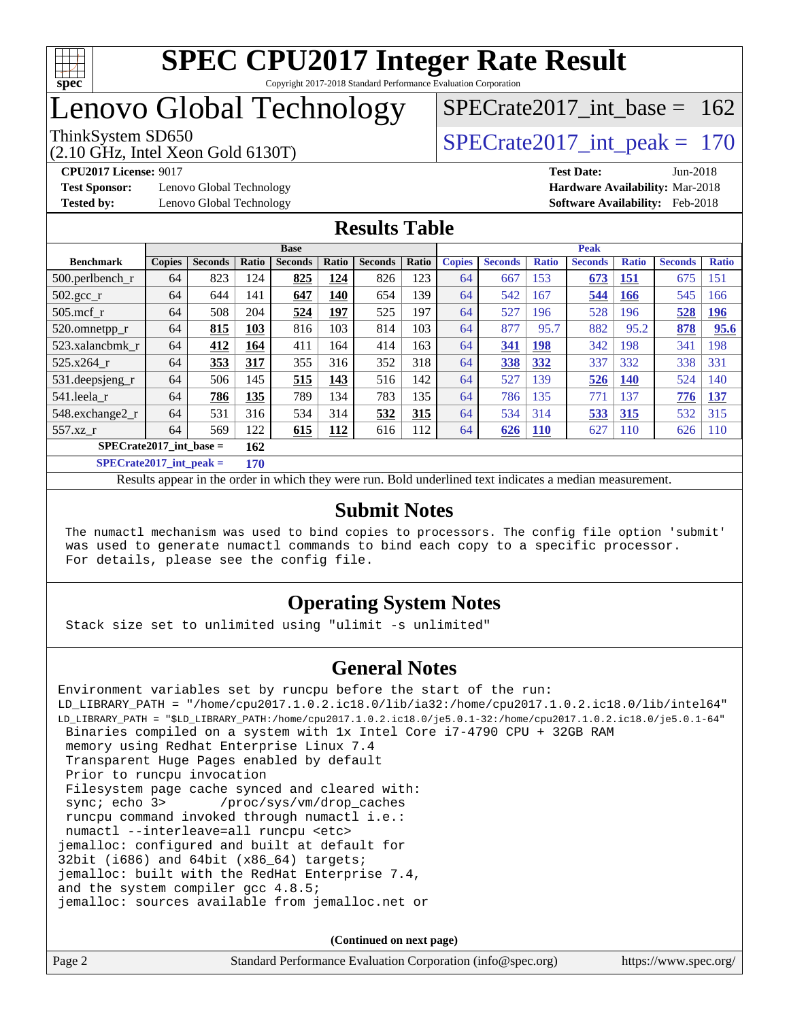

## Lenovo Global Technology

(2.10 GHz, Intel Xeon Gold 6130T)

ThinkSystem SD650  $SPECrate2017\_int\_peak = 170$ 

[SPECrate2017\\_int\\_base =](http://www.spec.org/auto/cpu2017/Docs/result-fields.html#SPECrate2017intbase) 162

**[Test Sponsor:](http://www.spec.org/auto/cpu2017/Docs/result-fields.html#TestSponsor)** Lenovo Global Technology **[Hardware Availability:](http://www.spec.org/auto/cpu2017/Docs/result-fields.html#HardwareAvailability)** Mar-2018

**[CPU2017 License:](http://www.spec.org/auto/cpu2017/Docs/result-fields.html#CPU2017License)** 9017 **[Test Date:](http://www.spec.org/auto/cpu2017/Docs/result-fields.html#TestDate)** Jun-2018 **[Tested by:](http://www.spec.org/auto/cpu2017/Docs/result-fields.html#Testedby)** Lenovo Global Technology **[Software Availability:](http://www.spec.org/auto/cpu2017/Docs/result-fields.html#SoftwareAvailability)** Feb-2018

#### **[Results Table](http://www.spec.org/auto/cpu2017/Docs/result-fields.html#ResultsTable)**

|                                                     | <b>Base</b>   |                |            |                |            | <b>Peak</b>    |       |               |                |              |                |              |                |              |
|-----------------------------------------------------|---------------|----------------|------------|----------------|------------|----------------|-------|---------------|----------------|--------------|----------------|--------------|----------------|--------------|
| <b>Benchmark</b>                                    | <b>Copies</b> | <b>Seconds</b> | Ratio      | <b>Seconds</b> | Ratio      | <b>Seconds</b> | Ratio | <b>Copies</b> | <b>Seconds</b> | <b>Ratio</b> | <b>Seconds</b> | <b>Ratio</b> | <b>Seconds</b> | <b>Ratio</b> |
| $500.$ perlbench_r                                  | 64            | 823            | 124        | 825            | 124        | 826            | 123   | 64            | 667            | 153          | 673            | <u>151</u>   | 675            | 151          |
| 502.gcc_r                                           | 64            | 644            | 141        | 647            | 140        | 654            | 139   | 64            | 542            | 167          | 544            | <b>166</b>   | 545            | 166          |
| $505$ .mcf r                                        | 64            | 508            | 204        | 524            | 197        | 525            | 197   | 64            | 527            | 196          | 528            | 196          | 528            | <u>196</u>   |
| 520.omnetpp_r                                       | 64            | 815            | 103        | 816            | 103        | 814            | 103   | 64            | 877            | 95.7         | 882            | 95.2         | 878            | 95.6         |
| 523.xalancbmk r                                     | 64            | 412            | 164        | 411            | 164        | 414            | 163   | 64            | 341            | <b>198</b>   | 342            | 198          | 341            | 198          |
| 525.x264 r                                          | 64            | 353            | 317        | 355            | 316        | 352            | 318   | 64            | 338            | 332          | 337            | 332          | 338            | 331          |
| 531.deepsjeng_r                                     | 64            | 506            | 145        | 515            | 143        | 516            | 142   | 64            | 527            | 39           | 526            | <b>140</b>   | 524            | 140          |
| 541.leela r                                         | 64            | 786            | 135        | 789            | 134        | 783            | 135   | 64            | 786            | 135          | 771            | 137          | 776            | 137          |
| 548.exchange2_r                                     | 64            | 531            | 316        | 534            | 314        | 532            | 315   | 64            | 534            | 314          | 533            | 315          | 532            | 315          |
| 557.xz r                                            | 64            | 569            | 122        | 615            | <b>112</b> | 616            | 112   | 64            | 626            | <b>110</b>   | 627            | <b>110</b>   | 626            | <b>110</b>   |
| $SPECrate2017\_int\_base =$                         |               |                | 162        |                |            |                |       |               |                |              |                |              |                |              |
| $CDFC_{\text{mod}}(2017 \text{ and } \text{mod}) =$ |               |                | <b>150</b> |                |            |                |       |               |                |              |                |              |                |              |

**[SPECrate2017\\_int\\_peak =](http://www.spec.org/auto/cpu2017/Docs/result-fields.html#SPECrate2017intpeak) 170**

Results appear in the [order in which they were run.](http://www.spec.org/auto/cpu2017/Docs/result-fields.html#RunOrder) Bold underlined text [indicates a median measurement.](http://www.spec.org/auto/cpu2017/Docs/result-fields.html#Median)

#### **[Submit Notes](http://www.spec.org/auto/cpu2017/Docs/result-fields.html#SubmitNotes)**

 The numactl mechanism was used to bind copies to processors. The config file option 'submit' was used to generate numactl commands to bind each copy to a specific processor. For details, please see the config file.

### **[Operating System Notes](http://www.spec.org/auto/cpu2017/Docs/result-fields.html#OperatingSystemNotes)**

Stack size set to unlimited using "ulimit -s unlimited"

### **[General Notes](http://www.spec.org/auto/cpu2017/Docs/result-fields.html#GeneralNotes)**

Environment variables set by runcpu before the start of the run: LD\_LIBRARY\_PATH = "/home/cpu2017.1.0.2.ic18.0/lib/ia32:/home/cpu2017.1.0.2.ic18.0/lib/intel64" LD\_LIBRARY\_PATH = "\$LD\_LIBRARY\_PATH:/home/cpu2017.1.0.2.ic18.0/je5.0.1-32:/home/cpu2017.1.0.2.ic18.0/je5.0.1-64" Binaries compiled on a system with 1x Intel Core i7-4790 CPU + 32GB RAM memory using Redhat Enterprise Linux 7.4 Transparent Huge Pages enabled by default Prior to runcpu invocation Filesystem page cache synced and cleared with: sync; echo 3> /proc/sys/vm/drop\_caches runcpu command invoked through numactl i.e.: numactl --interleave=all runcpu <etc> jemalloc: configured and built at default for 32bit (1686) and 64bit ( $x8664$ ) targets; jemalloc: built with the RedHat Enterprise 7.4, and the system compiler gcc 4.8.5; jemalloc: sources available from jemalloc.net or

**(Continued on next page)**

| Page 2 | Standard Performance Evaluation Corporation (info@spec.org) | https://www.spec.org/ |
|--------|-------------------------------------------------------------|-----------------------|
|        |                                                             |                       |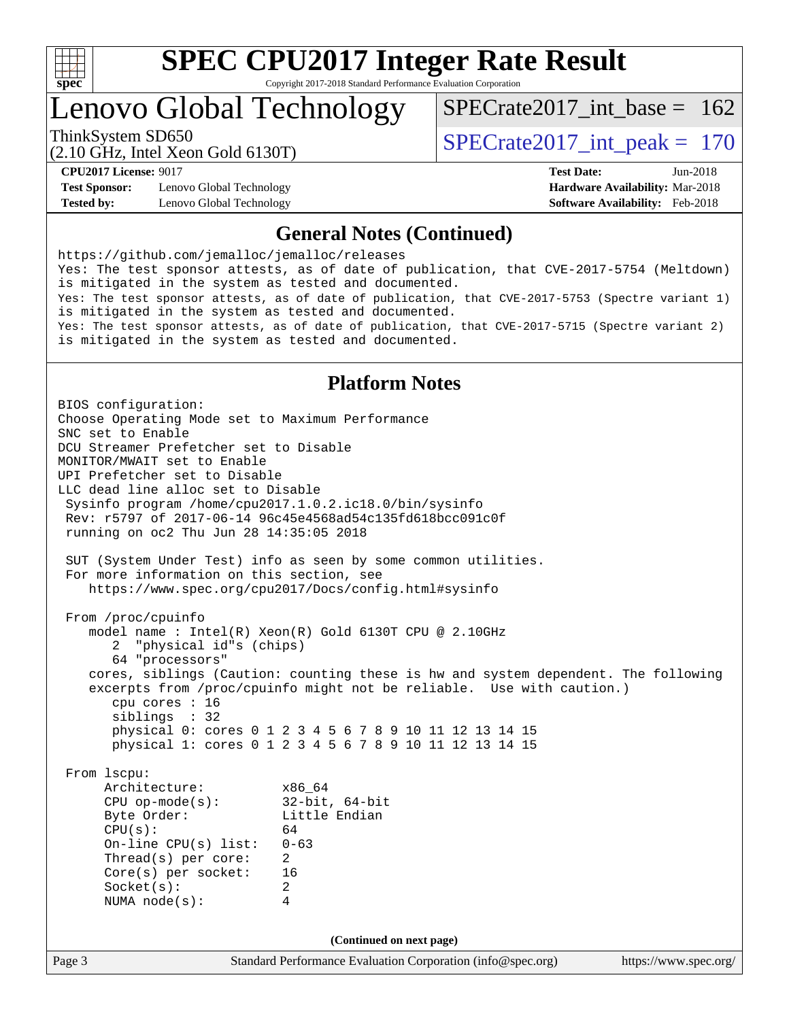

# **[SPEC CPU2017 Integer Rate Result](http://www.spec.org/auto/cpu2017/Docs/result-fields.html#SPECCPU2017IntegerRateResult)**

Copyright 2017-2018 Standard Performance Evaluation Corporation

## Lenovo Global Technology

ThinkSystem SD650  $SPECrate2017\_int\_peak = 170$  $SPECrate2017\_int\_base = 162$ 

(2.10 GHz, Intel Xeon Gold 6130T)

**[Test Sponsor:](http://www.spec.org/auto/cpu2017/Docs/result-fields.html#TestSponsor)** Lenovo Global Technology **[Hardware Availability:](http://www.spec.org/auto/cpu2017/Docs/result-fields.html#HardwareAvailability)** Mar-2018 **[Tested by:](http://www.spec.org/auto/cpu2017/Docs/result-fields.html#Testedby)** Lenovo Global Technology **[Software Availability:](http://www.spec.org/auto/cpu2017/Docs/result-fields.html#SoftwareAvailability)** Feb-2018

**[CPU2017 License:](http://www.spec.org/auto/cpu2017/Docs/result-fields.html#CPU2017License)** 9017 **[Test Date:](http://www.spec.org/auto/cpu2017/Docs/result-fields.html#TestDate)** Jun-2018

#### **[General Notes \(Continued\)](http://www.spec.org/auto/cpu2017/Docs/result-fields.html#GeneralNotes)**

<https://github.com/jemalloc/jemalloc/releases> Yes: The test sponsor attests, as of date of publication, that CVE-2017-5754 (Meltdown) is mitigated in the system as tested and documented. Yes: The test sponsor attests, as of date of publication, that CVE-2017-5753 (Spectre variant 1) is mitigated in the system as tested and documented. Yes: The test sponsor attests, as of date of publication, that CVE-2017-5715 (Spectre variant 2) is mitigated in the system as tested and documented.

#### **[Platform Notes](http://www.spec.org/auto/cpu2017/Docs/result-fields.html#PlatformNotes)**

Page 3 Standard Performance Evaluation Corporation [\(info@spec.org\)](mailto:info@spec.org) <https://www.spec.org/> BIOS configuration: Choose Operating Mode set to Maximum Performance SNC set to Enable DCU Streamer Prefetcher set to Disable MONITOR/MWAIT set to Enable UPI Prefetcher set to Disable LLC dead line alloc set to Disable Sysinfo program /home/cpu2017.1.0.2.ic18.0/bin/sysinfo Rev: r5797 of 2017-06-14 96c45e4568ad54c135fd618bcc091c0f running on oc2 Thu Jun 28 14:35:05 2018 SUT (System Under Test) info as seen by some common utilities. For more information on this section, see <https://www.spec.org/cpu2017/Docs/config.html#sysinfo> From /proc/cpuinfo model name : Intel(R) Xeon(R) Gold 6130T CPU @ 2.10GHz 2 "physical id"s (chips) 64 "processors" cores, siblings (Caution: counting these is hw and system dependent. The following excerpts from /proc/cpuinfo might not be reliable. Use with caution.) cpu cores : 16 siblings : 32 physical 0: cores 0 1 2 3 4 5 6 7 8 9 10 11 12 13 14 15 physical 1: cores 0 1 2 3 4 5 6 7 8 9 10 11 12 13 14 15 From lscpu: Architecture: x86\_64 CPU op-mode(s): 32-bit, 64-bit Byte Order: Little Endian  $CPU(s):$  64 On-line CPU(s) list: 0-63 Thread(s) per core: 2 Core(s) per socket: 16 Socket(s): 2 NUMA node(s): 4 **(Continued on next page)**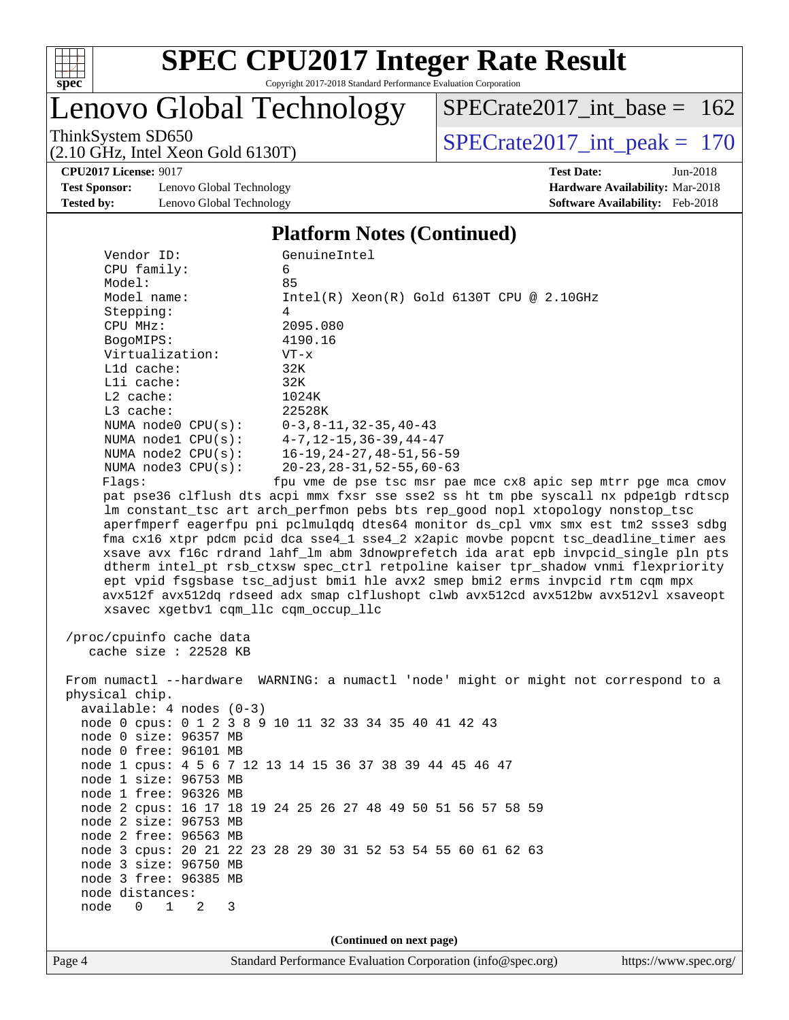

# Lenovo Global Technology

ThinkSystem SD650<br>  $(2.10 \text{ GHz})$  Intel Xeon Gold 6130T) [SPECrate2017\\_int\\_base =](http://www.spec.org/auto/cpu2017/Docs/result-fields.html#SPECrate2017intbase) 162

(2.10 GHz, Intel Xeon Gold 6130T)

**[CPU2017 License:](http://www.spec.org/auto/cpu2017/Docs/result-fields.html#CPU2017License)** 9017 **[Test Date:](http://www.spec.org/auto/cpu2017/Docs/result-fields.html#TestDate)** Jun-2018

**[Test Sponsor:](http://www.spec.org/auto/cpu2017/Docs/result-fields.html#TestSponsor)** Lenovo Global Technology **[Hardware Availability:](http://www.spec.org/auto/cpu2017/Docs/result-fields.html#HardwareAvailability)** Mar-2018 **[Tested by:](http://www.spec.org/auto/cpu2017/Docs/result-fields.html#Testedby)** Lenovo Global Technology **[Software Availability:](http://www.spec.org/auto/cpu2017/Docs/result-fields.html#SoftwareAvailability)** Feb-2018

#### **[Platform Notes \(Continued\)](http://www.spec.org/auto/cpu2017/Docs/result-fields.html#PlatformNotes)**

| Vendor ID:                           | GenuineIntel                                                                         |
|--------------------------------------|--------------------------------------------------------------------------------------|
| CPU family:                          | 6                                                                                    |
| Model:                               | 85                                                                                   |
| Model name:                          | $Intel(R) Xeon(R) Gold 6130T CPU @ 2.10GHz$                                          |
| Stepping:                            | 4                                                                                    |
| CPU MHz:                             | 2095.080                                                                             |
| BogoMIPS:                            | 4190.16                                                                              |
| Virtualization:                      | $VT - x$                                                                             |
| L1d cache:                           | 32K                                                                                  |
| Lli cache:                           | 32K                                                                                  |
| $L2$ cache:                          | 1024K                                                                                |
| $L3$ cache:                          | 22528K                                                                               |
| NUMA $node0$ $CPU(s)$ :              | $0-3, 8-11, 32-35, 40-43$                                                            |
| NUMA nodel CPU(s):                   | $4 - 7$ , 12-15, 36-39, 44-47                                                        |
| NUMA node2 CPU(s):                   | $16 - 19, 24 - 27, 48 - 51, 56 - 59$                                                 |
| NUMA $node3$ CPU $(s)$ :             | $20 - 23, 28 - 31, 52 - 55, 60 - 63$                                                 |
| Flaqs:                               | fpu vme de pse tsc msr pae mce cx8 apic sep mtrr pge mca cmov                        |
|                                      | pat pse36 clflush dts acpi mmx fxsr sse sse2 ss ht tm pbe syscall nx pdpe1gb rdtscp  |
|                                      | lm constant_tsc art arch_perfmon pebs bts rep_good nopl xtopology nonstop_tsc        |
|                                      | aperfmperf eagerfpu pni pclmulqdq dtes64 monitor ds_cpl vmx smx est tm2 ssse3 sdbg   |
|                                      | fma cx16 xtpr pdcm pcid dca sse4_1 sse4_2 x2apic movbe popcnt tsc_deadline_timer aes |
|                                      | xsave avx f16c rdrand lahf_lm abm 3dnowprefetch ida arat epb invpcid_single pln pts  |
|                                      | dtherm intel_pt rsb_ctxsw spec_ctrl retpoline kaiser tpr_shadow vnmi flexpriority    |
|                                      | ept vpid fsgsbase tsc_adjust bmil hle avx2 smep bmi2 erms invpcid rtm cqm mpx        |
|                                      | avx512f avx512dq rdseed adx smap clflushopt clwb avx512cd avx512bw avx512vl xsaveopt |
| xsavec xgetbv1 cqm_llc cqm_occup_llc |                                                                                      |
|                                      |                                                                                      |
| /proc/cpuinfo cache data             |                                                                                      |
| cache size : $22528$ KB              |                                                                                      |
|                                      |                                                                                      |
|                                      | From numactl --hardware WARNING: a numactl 'node' might or might not correspond to a |
| physical chip.                       |                                                                                      |
| $available: 4 nodes (0-3)$           |                                                                                      |
|                                      | node 0 cpus: 0 1 2 3 8 9 10 11 32 33 34 35 40 41 42 43                               |
| node 0 size: 96357 MB                |                                                                                      |
| node 0 free: 96101 MB                |                                                                                      |
|                                      | node 1 cpus: 4 5 6 7 12 13 14 15 36 37 38 39 44 45 46 47                             |
| node 1 size: 96753 MB                |                                                                                      |
| node 1 free: 96326 MB                |                                                                                      |
|                                      | node 2 cpus: 16 17 18 19 24 25 26 27 48 49 50 51 56 57 58 59                         |
| node 2 size: 96753 MB                |                                                                                      |
| node 2 free: 96563 MB                |                                                                                      |
|                                      |                                                                                      |
|                                      | node 3 cpus: 20 21 22 23 28 29 30 31 52 53 54 55 60 61 62 63                         |
| node 3 size: 96750 MB                |                                                                                      |

**(Continued on next page)**

 node distances: node 0 1 2 3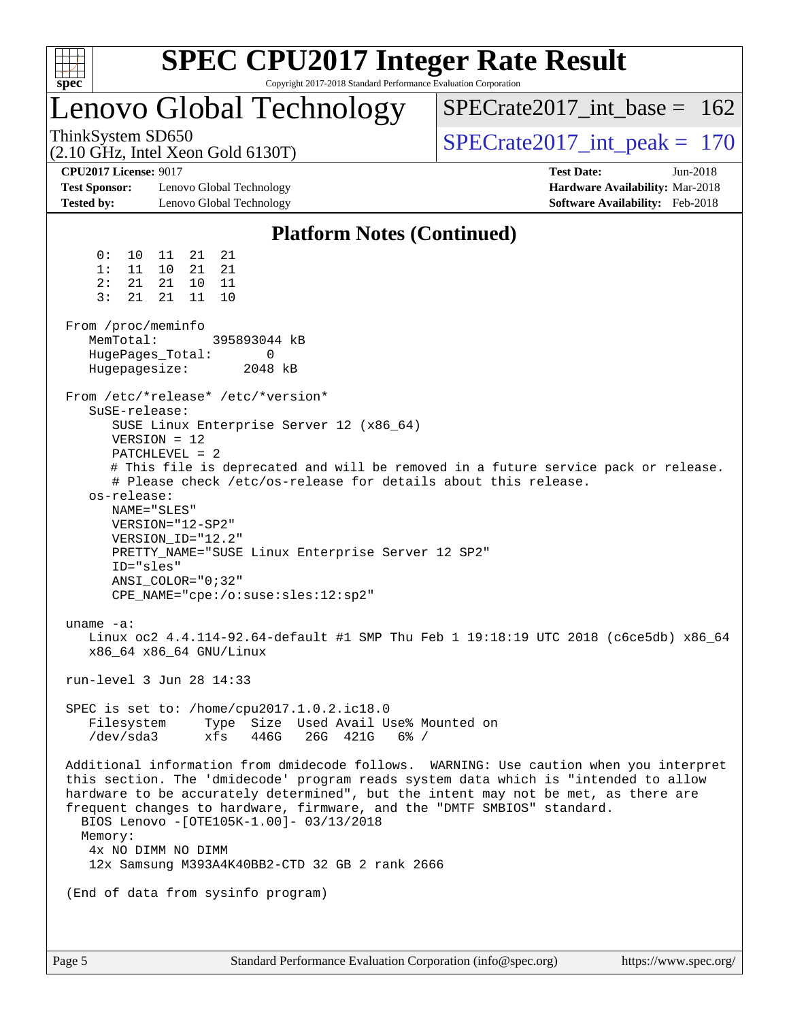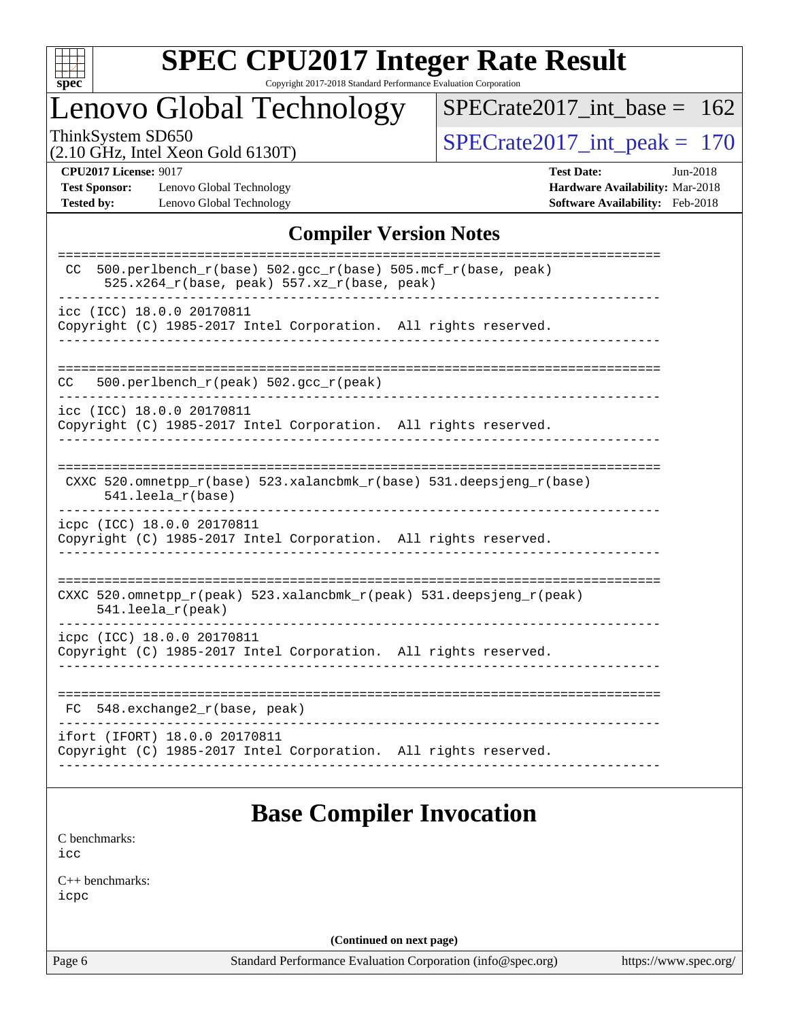

# **[SPEC CPU2017 Integer Rate Result](http://www.spec.org/auto/cpu2017/Docs/result-fields.html#SPECCPU2017IntegerRateResult)**

Copyright 2017-2018 Standard Performance Evaluation Corporation

## Lenovo Global Technology

[SPECrate2017\\_int\\_base =](http://www.spec.org/auto/cpu2017/Docs/result-fields.html#SPECrate2017intbase) 162

(2.10 GHz, Intel Xeon Gold 6130T)

ThinkSystem SD650<br>  $(2.10 \text{ GHz})$  Intel Xeon Gold 6130T)

**[Test Sponsor:](http://www.spec.org/auto/cpu2017/Docs/result-fields.html#TestSponsor)** Lenovo Global Technology **[Hardware Availability:](http://www.spec.org/auto/cpu2017/Docs/result-fields.html#HardwareAvailability)** Mar-2018 **[Tested by:](http://www.spec.org/auto/cpu2017/Docs/result-fields.html#Testedby)** Lenovo Global Technology **[Software Availability:](http://www.spec.org/auto/cpu2017/Docs/result-fields.html#SoftwareAvailability)** Feb-2018

**[CPU2017 License:](http://www.spec.org/auto/cpu2017/Docs/result-fields.html#CPU2017License)** 9017 **[Test Date:](http://www.spec.org/auto/cpu2017/Docs/result-fields.html#TestDate)** Jun-2018

#### **[Compiler Version Notes](http://www.spec.org/auto/cpu2017/Docs/result-fields.html#CompilerVersionNotes)**

| 500.perlbench_r(base) 502.gcc_r(base) 505.mcf_r(base, peak)<br>CC.<br>525.x264_r(base, peak) 557.xz_r(base, peak) |
|-------------------------------------------------------------------------------------------------------------------|
| icc (ICC) 18.0.0 20170811<br>Copyright (C) 1985-2017 Intel Corporation. All rights reserved.                      |
| 500.perlbench_r(peak) 502.gcc_r(peak)<br>CC.                                                                      |
| icc (ICC) 18.0.0 20170811<br>Copyright (C) 1985-2017 Intel Corporation. All rights reserved.                      |
| CXXC 520.omnetpp_r(base) 523.xalancbmk_r(base) 531.deepsjeng_r(base)<br>$541.$ leela $r(base)$                    |
| icpc (ICC) 18.0.0 20170811<br>Copyright (C) 1985-2017 Intel Corporation. All rights reserved.                     |
| CXXC 520.omnetpp_r(peak) 523.xalancbmk_r(peak) 531.deepsjeng_r(peak)<br>$541.$ leela_r(peak)                      |
| icpc (ICC) 18.0.0 20170811<br>Copyright (C) 1985-2017 Intel Corporation. All rights reserved.                     |
| 548.exchange2_r(base, peak)<br>FC.                                                                                |
| ifort (IFORT) 18.0.0 20170811<br>Copyright (C) 1985-2017 Intel Corporation. All rights reserved.                  |
|                                                                                                                   |

## **[Base Compiler Invocation](http://www.spec.org/auto/cpu2017/Docs/result-fields.html#BaseCompilerInvocation)**

[C benchmarks](http://www.spec.org/auto/cpu2017/Docs/result-fields.html#Cbenchmarks): [icc](http://www.spec.org/cpu2017/results/res2018q3/cpu2017-20180706-07572.flags.html#user_CCbase_intel_icc_18.0_66fc1ee009f7361af1fbd72ca7dcefbb700085f36577c54f309893dd4ec40d12360134090235512931783d35fd58c0460139e722d5067c5574d8eaf2b3e37e92)

[C++ benchmarks:](http://www.spec.org/auto/cpu2017/Docs/result-fields.html#CXXbenchmarks) [icpc](http://www.spec.org/cpu2017/results/res2018q3/cpu2017-20180706-07572.flags.html#user_CXXbase_intel_icpc_18.0_c510b6838c7f56d33e37e94d029a35b4a7bccf4766a728ee175e80a419847e808290a9b78be685c44ab727ea267ec2f070ec5dc83b407c0218cded6866a35d07)

**(Continued on next page)**

Page 6 Standard Performance Evaluation Corporation [\(info@spec.org\)](mailto:info@spec.org) <https://www.spec.org/>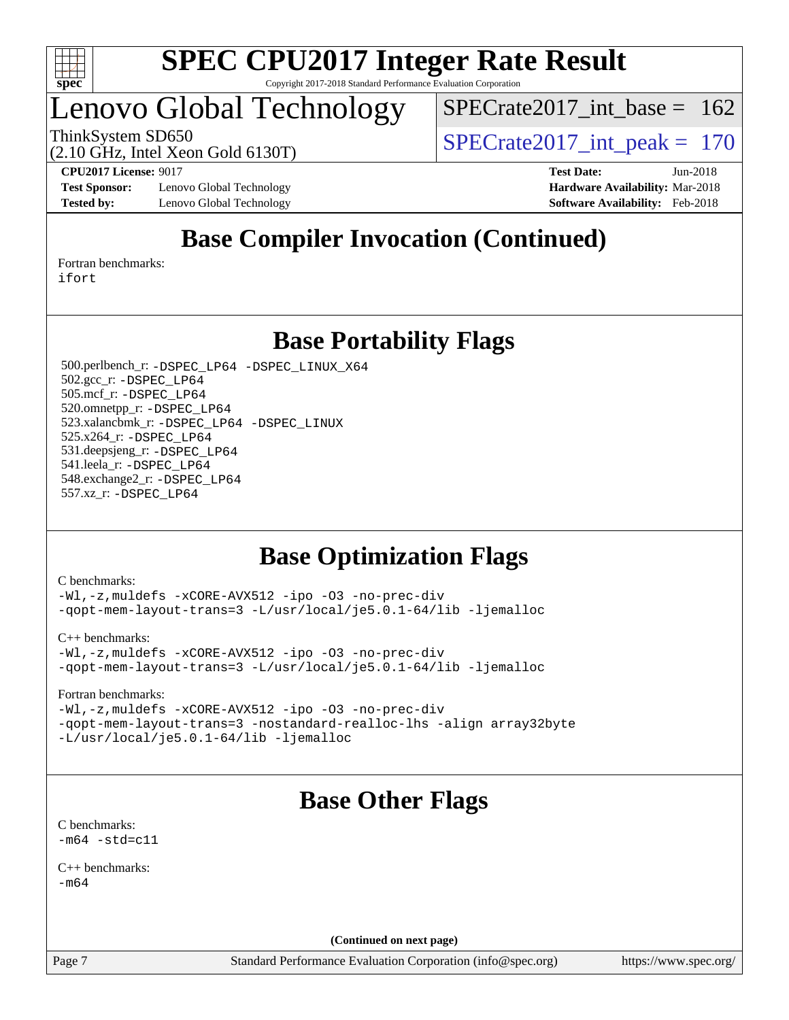

## Lenovo Global Technology

[SPECrate2017\\_int\\_base =](http://www.spec.org/auto/cpu2017/Docs/result-fields.html#SPECrate2017intbase) 162

(2.10 GHz, Intel Xeon Gold 6130T)

ThinkSystem SD650<br>  $\frac{170 \text{ GHz}}{210 \text{ GHz}}$  Intel Year Gald 6130T)

**[Test Sponsor:](http://www.spec.org/auto/cpu2017/Docs/result-fields.html#TestSponsor)** Lenovo Global Technology **[Hardware Availability:](http://www.spec.org/auto/cpu2017/Docs/result-fields.html#HardwareAvailability)** Mar-2018 **[Tested by:](http://www.spec.org/auto/cpu2017/Docs/result-fields.html#Testedby)** Lenovo Global Technology **[Software Availability:](http://www.spec.org/auto/cpu2017/Docs/result-fields.html#SoftwareAvailability)** Feb-2018

**[CPU2017 License:](http://www.spec.org/auto/cpu2017/Docs/result-fields.html#CPU2017License)** 9017 **[Test Date:](http://www.spec.org/auto/cpu2017/Docs/result-fields.html#TestDate)** Jun-2018

## **[Base Compiler Invocation \(Continued\)](http://www.spec.org/auto/cpu2017/Docs/result-fields.html#BaseCompilerInvocation)**

[Fortran benchmarks](http://www.spec.org/auto/cpu2017/Docs/result-fields.html#Fortranbenchmarks): [ifort](http://www.spec.org/cpu2017/results/res2018q3/cpu2017-20180706-07572.flags.html#user_FCbase_intel_ifort_18.0_8111460550e3ca792625aed983ce982f94888b8b503583aa7ba2b8303487b4d8a21a13e7191a45c5fd58ff318f48f9492884d4413fa793fd88dd292cad7027ca)

**[Base Portability Flags](http://www.spec.org/auto/cpu2017/Docs/result-fields.html#BasePortabilityFlags)**

 500.perlbench\_r: [-DSPEC\\_LP64](http://www.spec.org/cpu2017/results/res2018q3/cpu2017-20180706-07572.flags.html#b500.perlbench_r_basePORTABILITY_DSPEC_LP64) [-DSPEC\\_LINUX\\_X64](http://www.spec.org/cpu2017/results/res2018q3/cpu2017-20180706-07572.flags.html#b500.perlbench_r_baseCPORTABILITY_DSPEC_LINUX_X64) 502.gcc\_r: [-DSPEC\\_LP64](http://www.spec.org/cpu2017/results/res2018q3/cpu2017-20180706-07572.flags.html#suite_basePORTABILITY502_gcc_r_DSPEC_LP64) 505.mcf\_r: [-DSPEC\\_LP64](http://www.spec.org/cpu2017/results/res2018q3/cpu2017-20180706-07572.flags.html#suite_basePORTABILITY505_mcf_r_DSPEC_LP64) 520.omnetpp\_r: [-DSPEC\\_LP64](http://www.spec.org/cpu2017/results/res2018q3/cpu2017-20180706-07572.flags.html#suite_basePORTABILITY520_omnetpp_r_DSPEC_LP64) 523.xalancbmk\_r: [-DSPEC\\_LP64](http://www.spec.org/cpu2017/results/res2018q3/cpu2017-20180706-07572.flags.html#suite_basePORTABILITY523_xalancbmk_r_DSPEC_LP64) [-DSPEC\\_LINUX](http://www.spec.org/cpu2017/results/res2018q3/cpu2017-20180706-07572.flags.html#b523.xalancbmk_r_baseCXXPORTABILITY_DSPEC_LINUX) 525.x264\_r: [-DSPEC\\_LP64](http://www.spec.org/cpu2017/results/res2018q3/cpu2017-20180706-07572.flags.html#suite_basePORTABILITY525_x264_r_DSPEC_LP64) 531.deepsjeng\_r: [-DSPEC\\_LP64](http://www.spec.org/cpu2017/results/res2018q3/cpu2017-20180706-07572.flags.html#suite_basePORTABILITY531_deepsjeng_r_DSPEC_LP64) 541.leela\_r: [-DSPEC\\_LP64](http://www.spec.org/cpu2017/results/res2018q3/cpu2017-20180706-07572.flags.html#suite_basePORTABILITY541_leela_r_DSPEC_LP64) 548.exchange2\_r: [-DSPEC\\_LP64](http://www.spec.org/cpu2017/results/res2018q3/cpu2017-20180706-07572.flags.html#suite_basePORTABILITY548_exchange2_r_DSPEC_LP64) 557.xz\_r: [-DSPEC\\_LP64](http://www.spec.org/cpu2017/results/res2018q3/cpu2017-20180706-07572.flags.html#suite_basePORTABILITY557_xz_r_DSPEC_LP64)

## **[Base Optimization Flags](http://www.spec.org/auto/cpu2017/Docs/result-fields.html#BaseOptimizationFlags)**

[C benchmarks](http://www.spec.org/auto/cpu2017/Docs/result-fields.html#Cbenchmarks):

[-Wl,-z,muldefs](http://www.spec.org/cpu2017/results/res2018q3/cpu2017-20180706-07572.flags.html#user_CCbase_link_force_multiple1_b4cbdb97b34bdee9ceefcfe54f4c8ea74255f0b02a4b23e853cdb0e18eb4525ac79b5a88067c842dd0ee6996c24547a27a4b99331201badda8798ef8a743f577) [-xCORE-AVX512](http://www.spec.org/cpu2017/results/res2018q3/cpu2017-20180706-07572.flags.html#user_CCbase_f-xCORE-AVX512) [-ipo](http://www.spec.org/cpu2017/results/res2018q3/cpu2017-20180706-07572.flags.html#user_CCbase_f-ipo) [-O3](http://www.spec.org/cpu2017/results/res2018q3/cpu2017-20180706-07572.flags.html#user_CCbase_f-O3) [-no-prec-div](http://www.spec.org/cpu2017/results/res2018q3/cpu2017-20180706-07572.flags.html#user_CCbase_f-no-prec-div) [-qopt-mem-layout-trans=3](http://www.spec.org/cpu2017/results/res2018q3/cpu2017-20180706-07572.flags.html#user_CCbase_f-qopt-mem-layout-trans_de80db37974c74b1f0e20d883f0b675c88c3b01e9d123adea9b28688d64333345fb62bc4a798493513fdb68f60282f9a726aa07f478b2f7113531aecce732043) [-L/usr/local/je5.0.1-64/lib](http://www.spec.org/cpu2017/results/res2018q3/cpu2017-20180706-07572.flags.html#user_CCbase_jemalloc_link_path64_4b10a636b7bce113509b17f3bd0d6226c5fb2346b9178c2d0232c14f04ab830f976640479e5c33dc2bcbbdad86ecfb6634cbbd4418746f06f368b512fced5394) [-ljemalloc](http://www.spec.org/cpu2017/results/res2018q3/cpu2017-20180706-07572.flags.html#user_CCbase_jemalloc_link_lib_d1249b907c500fa1c0672f44f562e3d0f79738ae9e3c4a9c376d49f265a04b9c99b167ecedbf6711b3085be911c67ff61f150a17b3472be731631ba4d0471706)

[C++ benchmarks:](http://www.spec.org/auto/cpu2017/Docs/result-fields.html#CXXbenchmarks)

[-Wl,-z,muldefs](http://www.spec.org/cpu2017/results/res2018q3/cpu2017-20180706-07572.flags.html#user_CXXbase_link_force_multiple1_b4cbdb97b34bdee9ceefcfe54f4c8ea74255f0b02a4b23e853cdb0e18eb4525ac79b5a88067c842dd0ee6996c24547a27a4b99331201badda8798ef8a743f577) [-xCORE-AVX512](http://www.spec.org/cpu2017/results/res2018q3/cpu2017-20180706-07572.flags.html#user_CXXbase_f-xCORE-AVX512) [-ipo](http://www.spec.org/cpu2017/results/res2018q3/cpu2017-20180706-07572.flags.html#user_CXXbase_f-ipo) [-O3](http://www.spec.org/cpu2017/results/res2018q3/cpu2017-20180706-07572.flags.html#user_CXXbase_f-O3) [-no-prec-div](http://www.spec.org/cpu2017/results/res2018q3/cpu2017-20180706-07572.flags.html#user_CXXbase_f-no-prec-div) [-qopt-mem-layout-trans=3](http://www.spec.org/cpu2017/results/res2018q3/cpu2017-20180706-07572.flags.html#user_CXXbase_f-qopt-mem-layout-trans_de80db37974c74b1f0e20d883f0b675c88c3b01e9d123adea9b28688d64333345fb62bc4a798493513fdb68f60282f9a726aa07f478b2f7113531aecce732043) [-L/usr/local/je5.0.1-64/lib](http://www.spec.org/cpu2017/results/res2018q3/cpu2017-20180706-07572.flags.html#user_CXXbase_jemalloc_link_path64_4b10a636b7bce113509b17f3bd0d6226c5fb2346b9178c2d0232c14f04ab830f976640479e5c33dc2bcbbdad86ecfb6634cbbd4418746f06f368b512fced5394) [-ljemalloc](http://www.spec.org/cpu2017/results/res2018q3/cpu2017-20180706-07572.flags.html#user_CXXbase_jemalloc_link_lib_d1249b907c500fa1c0672f44f562e3d0f79738ae9e3c4a9c376d49f265a04b9c99b167ecedbf6711b3085be911c67ff61f150a17b3472be731631ba4d0471706)

[Fortran benchmarks](http://www.spec.org/auto/cpu2017/Docs/result-fields.html#Fortranbenchmarks):

[-Wl,-z,muldefs](http://www.spec.org/cpu2017/results/res2018q3/cpu2017-20180706-07572.flags.html#user_FCbase_link_force_multiple1_b4cbdb97b34bdee9ceefcfe54f4c8ea74255f0b02a4b23e853cdb0e18eb4525ac79b5a88067c842dd0ee6996c24547a27a4b99331201badda8798ef8a743f577) [-xCORE-AVX512](http://www.spec.org/cpu2017/results/res2018q3/cpu2017-20180706-07572.flags.html#user_FCbase_f-xCORE-AVX512) [-ipo](http://www.spec.org/cpu2017/results/res2018q3/cpu2017-20180706-07572.flags.html#user_FCbase_f-ipo) [-O3](http://www.spec.org/cpu2017/results/res2018q3/cpu2017-20180706-07572.flags.html#user_FCbase_f-O3) [-no-prec-div](http://www.spec.org/cpu2017/results/res2018q3/cpu2017-20180706-07572.flags.html#user_FCbase_f-no-prec-div) [-qopt-mem-layout-trans=3](http://www.spec.org/cpu2017/results/res2018q3/cpu2017-20180706-07572.flags.html#user_FCbase_f-qopt-mem-layout-trans_de80db37974c74b1f0e20d883f0b675c88c3b01e9d123adea9b28688d64333345fb62bc4a798493513fdb68f60282f9a726aa07f478b2f7113531aecce732043) [-nostandard-realloc-lhs](http://www.spec.org/cpu2017/results/res2018q3/cpu2017-20180706-07572.flags.html#user_FCbase_f_2003_std_realloc_82b4557e90729c0f113870c07e44d33d6f5a304b4f63d4c15d2d0f1fab99f5daaed73bdb9275d9ae411527f28b936061aa8b9c8f2d63842963b95c9dd6426b8a) [-align array32byte](http://www.spec.org/cpu2017/results/res2018q3/cpu2017-20180706-07572.flags.html#user_FCbase_align_array32byte_b982fe038af199962ba9a80c053b8342c548c85b40b8e86eb3cc33dee0d7986a4af373ac2d51c3f7cf710a18d62fdce2948f201cd044323541f22fc0fffc51b6) [-L/usr/local/je5.0.1-64/lib](http://www.spec.org/cpu2017/results/res2018q3/cpu2017-20180706-07572.flags.html#user_FCbase_jemalloc_link_path64_4b10a636b7bce113509b17f3bd0d6226c5fb2346b9178c2d0232c14f04ab830f976640479e5c33dc2bcbbdad86ecfb6634cbbd4418746f06f368b512fced5394) [-ljemalloc](http://www.spec.org/cpu2017/results/res2018q3/cpu2017-20180706-07572.flags.html#user_FCbase_jemalloc_link_lib_d1249b907c500fa1c0672f44f562e3d0f79738ae9e3c4a9c376d49f265a04b9c99b167ecedbf6711b3085be911c67ff61f150a17b3472be731631ba4d0471706)

## **[Base Other Flags](http://www.spec.org/auto/cpu2017/Docs/result-fields.html#BaseOtherFlags)**

[C benchmarks](http://www.spec.org/auto/cpu2017/Docs/result-fields.html#Cbenchmarks):  $-m64 - std= c11$  $-m64 - std= c11$ 

[C++ benchmarks:](http://www.spec.org/auto/cpu2017/Docs/result-fields.html#CXXbenchmarks)  $-m64$ 

**(Continued on next page)**

Page 7 Standard Performance Evaluation Corporation [\(info@spec.org\)](mailto:info@spec.org) <https://www.spec.org/>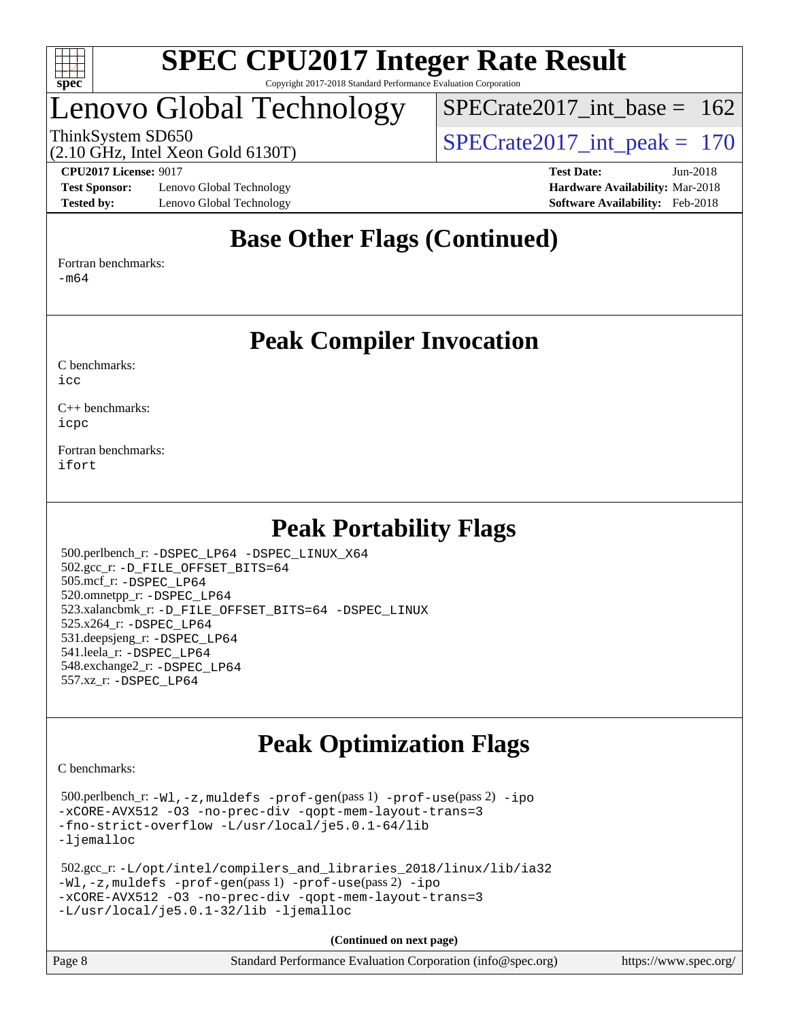

## Lenovo Global Technology

[SPECrate2017\\_int\\_base =](http://www.spec.org/auto/cpu2017/Docs/result-fields.html#SPECrate2017intbase) 162

(2.10 GHz, Intel Xeon Gold 6130T)

ThinkSystem SD650  $SPECrate2017\_int\_peak = 170$ 

**[Test Sponsor:](http://www.spec.org/auto/cpu2017/Docs/result-fields.html#TestSponsor)** Lenovo Global Technology **[Hardware Availability:](http://www.spec.org/auto/cpu2017/Docs/result-fields.html#HardwareAvailability)** Mar-2018 **[Tested by:](http://www.spec.org/auto/cpu2017/Docs/result-fields.html#Testedby)** Lenovo Global Technology **[Software Availability:](http://www.spec.org/auto/cpu2017/Docs/result-fields.html#SoftwareAvailability)** Feb-2018

**[CPU2017 License:](http://www.spec.org/auto/cpu2017/Docs/result-fields.html#CPU2017License)** 9017 **[Test Date:](http://www.spec.org/auto/cpu2017/Docs/result-fields.html#TestDate)** Jun-2018

### **[Base Other Flags \(Continued\)](http://www.spec.org/auto/cpu2017/Docs/result-fields.html#BaseOtherFlags)**

[Fortran benchmarks](http://www.spec.org/auto/cpu2017/Docs/result-fields.html#Fortranbenchmarks):

[-m64](http://www.spec.org/cpu2017/results/res2018q3/cpu2017-20180706-07572.flags.html#user_FCbase_intel_intel64_18.0_af43caccfc8ded86e7699f2159af6efc7655f51387b94da716254467f3c01020a5059329e2569e4053f409e7c9202a7efc638f7a6d1ffb3f52dea4a3e31d82ab)

### **[Peak Compiler Invocation](http://www.spec.org/auto/cpu2017/Docs/result-fields.html#PeakCompilerInvocation)**

[C benchmarks](http://www.spec.org/auto/cpu2017/Docs/result-fields.html#Cbenchmarks):  $i$ cc

[C++ benchmarks:](http://www.spec.org/auto/cpu2017/Docs/result-fields.html#CXXbenchmarks) [icpc](http://www.spec.org/cpu2017/results/res2018q3/cpu2017-20180706-07572.flags.html#user_CXXpeak_intel_icpc_18.0_c510b6838c7f56d33e37e94d029a35b4a7bccf4766a728ee175e80a419847e808290a9b78be685c44ab727ea267ec2f070ec5dc83b407c0218cded6866a35d07)

[Fortran benchmarks](http://www.spec.org/auto/cpu2017/Docs/result-fields.html#Fortranbenchmarks): [ifort](http://www.spec.org/cpu2017/results/res2018q3/cpu2017-20180706-07572.flags.html#user_FCpeak_intel_ifort_18.0_8111460550e3ca792625aed983ce982f94888b8b503583aa7ba2b8303487b4d8a21a13e7191a45c5fd58ff318f48f9492884d4413fa793fd88dd292cad7027ca)

## **[Peak Portability Flags](http://www.spec.org/auto/cpu2017/Docs/result-fields.html#PeakPortabilityFlags)**

 500.perlbench\_r: [-DSPEC\\_LP64](http://www.spec.org/cpu2017/results/res2018q3/cpu2017-20180706-07572.flags.html#b500.perlbench_r_peakPORTABILITY_DSPEC_LP64) [-DSPEC\\_LINUX\\_X64](http://www.spec.org/cpu2017/results/res2018q3/cpu2017-20180706-07572.flags.html#b500.perlbench_r_peakCPORTABILITY_DSPEC_LINUX_X64) 502.gcc\_r: [-D\\_FILE\\_OFFSET\\_BITS=64](http://www.spec.org/cpu2017/results/res2018q3/cpu2017-20180706-07572.flags.html#user_peakPORTABILITY502_gcc_r_file_offset_bits_64_5ae949a99b284ddf4e95728d47cb0843d81b2eb0e18bdfe74bbf0f61d0b064f4bda2f10ea5eb90e1dcab0e84dbc592acfc5018bc955c18609f94ddb8d550002c) 505.mcf\_r: [-DSPEC\\_LP64](http://www.spec.org/cpu2017/results/res2018q3/cpu2017-20180706-07572.flags.html#suite_peakPORTABILITY505_mcf_r_DSPEC_LP64) 520.omnetpp\_r: [-DSPEC\\_LP64](http://www.spec.org/cpu2017/results/res2018q3/cpu2017-20180706-07572.flags.html#suite_peakPORTABILITY520_omnetpp_r_DSPEC_LP64) 523.xalancbmk\_r: [-D\\_FILE\\_OFFSET\\_BITS=64](http://www.spec.org/cpu2017/results/res2018q3/cpu2017-20180706-07572.flags.html#user_peakPORTABILITY523_xalancbmk_r_file_offset_bits_64_5ae949a99b284ddf4e95728d47cb0843d81b2eb0e18bdfe74bbf0f61d0b064f4bda2f10ea5eb90e1dcab0e84dbc592acfc5018bc955c18609f94ddb8d550002c) [-DSPEC\\_LINUX](http://www.spec.org/cpu2017/results/res2018q3/cpu2017-20180706-07572.flags.html#b523.xalancbmk_r_peakCXXPORTABILITY_DSPEC_LINUX) 525.x264\_r: [-DSPEC\\_LP64](http://www.spec.org/cpu2017/results/res2018q3/cpu2017-20180706-07572.flags.html#suite_peakPORTABILITY525_x264_r_DSPEC_LP64) 531.deepsjeng\_r: [-DSPEC\\_LP64](http://www.spec.org/cpu2017/results/res2018q3/cpu2017-20180706-07572.flags.html#suite_peakPORTABILITY531_deepsjeng_r_DSPEC_LP64) 541.leela\_r: [-DSPEC\\_LP64](http://www.spec.org/cpu2017/results/res2018q3/cpu2017-20180706-07572.flags.html#suite_peakPORTABILITY541_leela_r_DSPEC_LP64) 548.exchange2\_r: [-DSPEC\\_LP64](http://www.spec.org/cpu2017/results/res2018q3/cpu2017-20180706-07572.flags.html#suite_peakPORTABILITY548_exchange2_r_DSPEC_LP64) 557.xz\_r: [-DSPEC\\_LP64](http://www.spec.org/cpu2017/results/res2018q3/cpu2017-20180706-07572.flags.html#suite_peakPORTABILITY557_xz_r_DSPEC_LP64)

## **[Peak Optimization Flags](http://www.spec.org/auto/cpu2017/Docs/result-fields.html#PeakOptimizationFlags)**

[C benchmarks](http://www.spec.org/auto/cpu2017/Docs/result-fields.html#Cbenchmarks):

 500.perlbench\_r: [-Wl,-z,muldefs](http://www.spec.org/cpu2017/results/res2018q3/cpu2017-20180706-07572.flags.html#user_peakEXTRA_LDFLAGS500_perlbench_r_link_force_multiple1_b4cbdb97b34bdee9ceefcfe54f4c8ea74255f0b02a4b23e853cdb0e18eb4525ac79b5a88067c842dd0ee6996c24547a27a4b99331201badda8798ef8a743f577) [-prof-gen](http://www.spec.org/cpu2017/results/res2018q3/cpu2017-20180706-07572.flags.html#user_peakPASS1_CFLAGSPASS1_LDFLAGS500_perlbench_r_prof_gen_5aa4926d6013ddb2a31985c654b3eb18169fc0c6952a63635c234f711e6e63dd76e94ad52365559451ec499a2cdb89e4dc58ba4c67ef54ca681ffbe1461d6b36)(pass 1) [-prof-use](http://www.spec.org/cpu2017/results/res2018q3/cpu2017-20180706-07572.flags.html#user_peakPASS2_CFLAGSPASS2_LDFLAGS500_perlbench_r_prof_use_1a21ceae95f36a2b53c25747139a6c16ca95bd9def2a207b4f0849963b97e94f5260e30a0c64f4bb623698870e679ca08317ef8150905d41bd88c6f78df73f19)(pass 2) [-ipo](http://www.spec.org/cpu2017/results/res2018q3/cpu2017-20180706-07572.flags.html#user_peakPASS1_COPTIMIZEPASS2_COPTIMIZE500_perlbench_r_f-ipo) [-xCORE-AVX512](http://www.spec.org/cpu2017/results/res2018q3/cpu2017-20180706-07572.flags.html#user_peakPASS2_COPTIMIZE500_perlbench_r_f-xCORE-AVX512) [-O3](http://www.spec.org/cpu2017/results/res2018q3/cpu2017-20180706-07572.flags.html#user_peakPASS1_COPTIMIZEPASS2_COPTIMIZE500_perlbench_r_f-O3) [-no-prec-div](http://www.spec.org/cpu2017/results/res2018q3/cpu2017-20180706-07572.flags.html#user_peakPASS1_COPTIMIZEPASS2_COPTIMIZE500_perlbench_r_f-no-prec-div) [-qopt-mem-layout-trans=3](http://www.spec.org/cpu2017/results/res2018q3/cpu2017-20180706-07572.flags.html#user_peakPASS1_COPTIMIZEPASS2_COPTIMIZE500_perlbench_r_f-qopt-mem-layout-trans_de80db37974c74b1f0e20d883f0b675c88c3b01e9d123adea9b28688d64333345fb62bc4a798493513fdb68f60282f9a726aa07f478b2f7113531aecce732043) [-fno-strict-overflow](http://www.spec.org/cpu2017/results/res2018q3/cpu2017-20180706-07572.flags.html#user_peakEXTRA_OPTIMIZE500_perlbench_r_f-fno-strict-overflow) [-L/usr/local/je5.0.1-64/lib](http://www.spec.org/cpu2017/results/res2018q3/cpu2017-20180706-07572.flags.html#user_peakEXTRA_LIBS500_perlbench_r_jemalloc_link_path64_4b10a636b7bce113509b17f3bd0d6226c5fb2346b9178c2d0232c14f04ab830f976640479e5c33dc2bcbbdad86ecfb6634cbbd4418746f06f368b512fced5394) [-ljemalloc](http://www.spec.org/cpu2017/results/res2018q3/cpu2017-20180706-07572.flags.html#user_peakEXTRA_LIBS500_perlbench_r_jemalloc_link_lib_d1249b907c500fa1c0672f44f562e3d0f79738ae9e3c4a9c376d49f265a04b9c99b167ecedbf6711b3085be911c67ff61f150a17b3472be731631ba4d0471706)

```
 502.gcc_r: -L/opt/intel/compilers_and_libraries_2018/linux/lib/ia32
-Wl,-z,muldefs -prof-gen(pass 1) -prof-use(pass 2) -ipo
-xCORE-AVX512 -O3 -no-prec-div -qopt-mem-layout-trans=3
-L/usr/local/je5.0.1-32/lib -ljemalloc
```
**(Continued on next page)**

| https://www.spec.org/ |
|-----------------------|
|                       |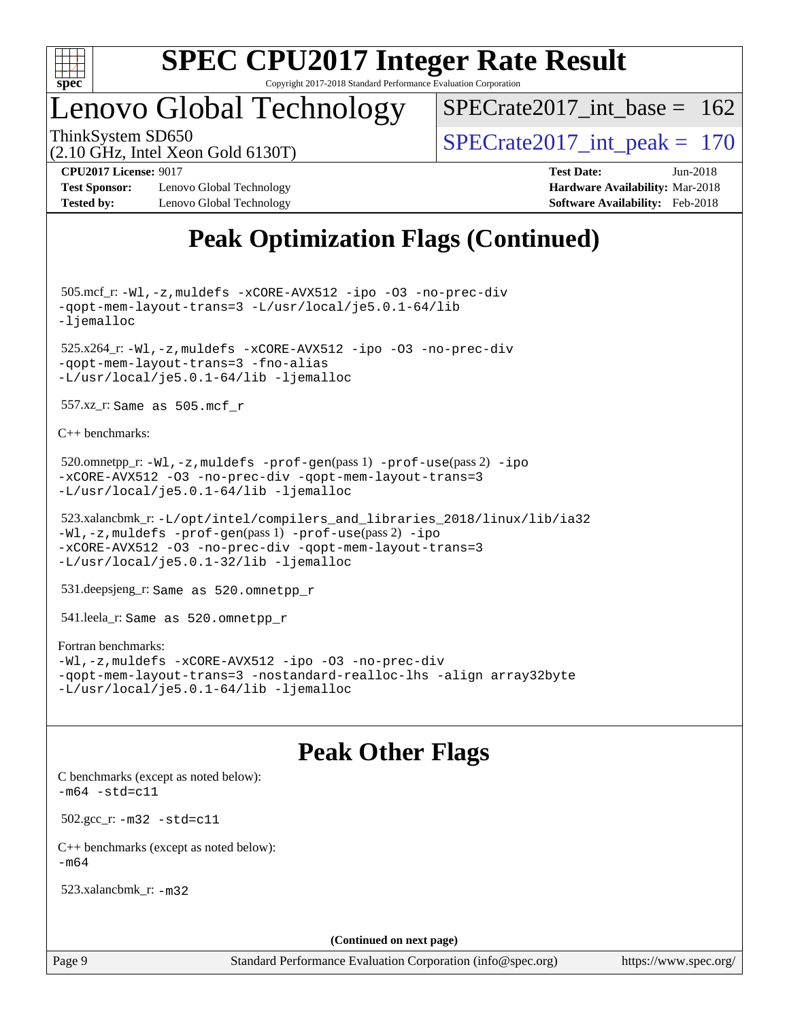

## Lenovo Global Technology

 $SPECrate2017\_int\_base = 162$ 

(2.10 GHz, Intel Xeon Gold 6130T)

ThinkSystem SD650  $SPECrate2017\_int\_peak = 170$ 

**[Tested by:](http://www.spec.org/auto/cpu2017/Docs/result-fields.html#Testedby)** Lenovo Global Technology **[Software Availability:](http://www.spec.org/auto/cpu2017/Docs/result-fields.html#SoftwareAvailability)** Feb-2018

**[CPU2017 License:](http://www.spec.org/auto/cpu2017/Docs/result-fields.html#CPU2017License)** 9017 **[Test Date:](http://www.spec.org/auto/cpu2017/Docs/result-fields.html#TestDate)** Jun-2018 **[Test Sponsor:](http://www.spec.org/auto/cpu2017/Docs/result-fields.html#TestSponsor)** Lenovo Global Technology **[Hardware Availability:](http://www.spec.org/auto/cpu2017/Docs/result-fields.html#HardwareAvailability)** Mar-2018

## **[Peak Optimization Flags \(Continued\)](http://www.spec.org/auto/cpu2017/Docs/result-fields.html#PeakOptimizationFlags)**

 505.mcf\_r: [-Wl,-z,muldefs](http://www.spec.org/cpu2017/results/res2018q3/cpu2017-20180706-07572.flags.html#user_peakEXTRA_LDFLAGS505_mcf_r_link_force_multiple1_b4cbdb97b34bdee9ceefcfe54f4c8ea74255f0b02a4b23e853cdb0e18eb4525ac79b5a88067c842dd0ee6996c24547a27a4b99331201badda8798ef8a743f577) [-xCORE-AVX512](http://www.spec.org/cpu2017/results/res2018q3/cpu2017-20180706-07572.flags.html#user_peakCOPTIMIZE505_mcf_r_f-xCORE-AVX512) [-ipo](http://www.spec.org/cpu2017/results/res2018q3/cpu2017-20180706-07572.flags.html#user_peakCOPTIMIZE505_mcf_r_f-ipo) [-O3](http://www.spec.org/cpu2017/results/res2018q3/cpu2017-20180706-07572.flags.html#user_peakCOPTIMIZE505_mcf_r_f-O3) [-no-prec-div](http://www.spec.org/cpu2017/results/res2018q3/cpu2017-20180706-07572.flags.html#user_peakCOPTIMIZE505_mcf_r_f-no-prec-div) [-qopt-mem-layout-trans=3](http://www.spec.org/cpu2017/results/res2018q3/cpu2017-20180706-07572.flags.html#user_peakCOPTIMIZE505_mcf_r_f-qopt-mem-layout-trans_de80db37974c74b1f0e20d883f0b675c88c3b01e9d123adea9b28688d64333345fb62bc4a798493513fdb68f60282f9a726aa07f478b2f7113531aecce732043) [-L/usr/local/je5.0.1-64/lib](http://www.spec.org/cpu2017/results/res2018q3/cpu2017-20180706-07572.flags.html#user_peakEXTRA_LIBS505_mcf_r_jemalloc_link_path64_4b10a636b7bce113509b17f3bd0d6226c5fb2346b9178c2d0232c14f04ab830f976640479e5c33dc2bcbbdad86ecfb6634cbbd4418746f06f368b512fced5394) [-ljemalloc](http://www.spec.org/cpu2017/results/res2018q3/cpu2017-20180706-07572.flags.html#user_peakEXTRA_LIBS505_mcf_r_jemalloc_link_lib_d1249b907c500fa1c0672f44f562e3d0f79738ae9e3c4a9c376d49f265a04b9c99b167ecedbf6711b3085be911c67ff61f150a17b3472be731631ba4d0471706) 525.x264\_r: [-Wl,-z,muldefs](http://www.spec.org/cpu2017/results/res2018q3/cpu2017-20180706-07572.flags.html#user_peakEXTRA_LDFLAGS525_x264_r_link_force_multiple1_b4cbdb97b34bdee9ceefcfe54f4c8ea74255f0b02a4b23e853cdb0e18eb4525ac79b5a88067c842dd0ee6996c24547a27a4b99331201badda8798ef8a743f577) [-xCORE-AVX512](http://www.spec.org/cpu2017/results/res2018q3/cpu2017-20180706-07572.flags.html#user_peakCOPTIMIZE525_x264_r_f-xCORE-AVX512) [-ipo](http://www.spec.org/cpu2017/results/res2018q3/cpu2017-20180706-07572.flags.html#user_peakCOPTIMIZE525_x264_r_f-ipo) [-O3](http://www.spec.org/cpu2017/results/res2018q3/cpu2017-20180706-07572.flags.html#user_peakCOPTIMIZE525_x264_r_f-O3) [-no-prec-div](http://www.spec.org/cpu2017/results/res2018q3/cpu2017-20180706-07572.flags.html#user_peakCOPTIMIZE525_x264_r_f-no-prec-div) [-qopt-mem-layout-trans=3](http://www.spec.org/cpu2017/results/res2018q3/cpu2017-20180706-07572.flags.html#user_peakCOPTIMIZE525_x264_r_f-qopt-mem-layout-trans_de80db37974c74b1f0e20d883f0b675c88c3b01e9d123adea9b28688d64333345fb62bc4a798493513fdb68f60282f9a726aa07f478b2f7113531aecce732043) [-fno-alias](http://www.spec.org/cpu2017/results/res2018q3/cpu2017-20180706-07572.flags.html#user_peakEXTRA_OPTIMIZE525_x264_r_f-no-alias_77dbac10d91cbfe898fbf4a29d1b29b694089caa623bdd1baccc9957d4edbe8d106c0b357e2748a65b44fc9e83d78098bb898077f3fe92f9faf24f7bd4a07ed7) [-L/usr/local/je5.0.1-64/lib](http://www.spec.org/cpu2017/results/res2018q3/cpu2017-20180706-07572.flags.html#user_peakEXTRA_LIBS525_x264_r_jemalloc_link_path64_4b10a636b7bce113509b17f3bd0d6226c5fb2346b9178c2d0232c14f04ab830f976640479e5c33dc2bcbbdad86ecfb6634cbbd4418746f06f368b512fced5394) [-ljemalloc](http://www.spec.org/cpu2017/results/res2018q3/cpu2017-20180706-07572.flags.html#user_peakEXTRA_LIBS525_x264_r_jemalloc_link_lib_d1249b907c500fa1c0672f44f562e3d0f79738ae9e3c4a9c376d49f265a04b9c99b167ecedbf6711b3085be911c67ff61f150a17b3472be731631ba4d0471706) 557.xz\_r: Same as 505.mcf\_r [C++ benchmarks:](http://www.spec.org/auto/cpu2017/Docs/result-fields.html#CXXbenchmarks) 520.omnetpp\_r: [-Wl,-z,muldefs](http://www.spec.org/cpu2017/results/res2018q3/cpu2017-20180706-07572.flags.html#user_peakEXTRA_LDFLAGS520_omnetpp_r_link_force_multiple1_b4cbdb97b34bdee9ceefcfe54f4c8ea74255f0b02a4b23e853cdb0e18eb4525ac79b5a88067c842dd0ee6996c24547a27a4b99331201badda8798ef8a743f577) [-prof-gen](http://www.spec.org/cpu2017/results/res2018q3/cpu2017-20180706-07572.flags.html#user_peakPASS1_CXXFLAGSPASS1_LDFLAGS520_omnetpp_r_prof_gen_5aa4926d6013ddb2a31985c654b3eb18169fc0c6952a63635c234f711e6e63dd76e94ad52365559451ec499a2cdb89e4dc58ba4c67ef54ca681ffbe1461d6b36)(pass 1) [-prof-use](http://www.spec.org/cpu2017/results/res2018q3/cpu2017-20180706-07572.flags.html#user_peakPASS2_CXXFLAGSPASS2_LDFLAGS520_omnetpp_r_prof_use_1a21ceae95f36a2b53c25747139a6c16ca95bd9def2a207b4f0849963b97e94f5260e30a0c64f4bb623698870e679ca08317ef8150905d41bd88c6f78df73f19)(pass 2) [-ipo](http://www.spec.org/cpu2017/results/res2018q3/cpu2017-20180706-07572.flags.html#user_peakPASS1_CXXOPTIMIZEPASS2_CXXOPTIMIZE520_omnetpp_r_f-ipo) [-xCORE-AVX512](http://www.spec.org/cpu2017/results/res2018q3/cpu2017-20180706-07572.flags.html#user_peakPASS2_CXXOPTIMIZE520_omnetpp_r_f-xCORE-AVX512) [-O3](http://www.spec.org/cpu2017/results/res2018q3/cpu2017-20180706-07572.flags.html#user_peakPASS1_CXXOPTIMIZEPASS2_CXXOPTIMIZE520_omnetpp_r_f-O3) [-no-prec-div](http://www.spec.org/cpu2017/results/res2018q3/cpu2017-20180706-07572.flags.html#user_peakPASS1_CXXOPTIMIZEPASS2_CXXOPTIMIZE520_omnetpp_r_f-no-prec-div) [-qopt-mem-layout-trans=3](http://www.spec.org/cpu2017/results/res2018q3/cpu2017-20180706-07572.flags.html#user_peakPASS1_CXXOPTIMIZEPASS2_CXXOPTIMIZE520_omnetpp_r_f-qopt-mem-layout-trans_de80db37974c74b1f0e20d883f0b675c88c3b01e9d123adea9b28688d64333345fb62bc4a798493513fdb68f60282f9a726aa07f478b2f7113531aecce732043) [-L/usr/local/je5.0.1-64/lib](http://www.spec.org/cpu2017/results/res2018q3/cpu2017-20180706-07572.flags.html#user_peakEXTRA_LIBS520_omnetpp_r_jemalloc_link_path64_4b10a636b7bce113509b17f3bd0d6226c5fb2346b9178c2d0232c14f04ab830f976640479e5c33dc2bcbbdad86ecfb6634cbbd4418746f06f368b512fced5394) [-ljemalloc](http://www.spec.org/cpu2017/results/res2018q3/cpu2017-20180706-07572.flags.html#user_peakEXTRA_LIBS520_omnetpp_r_jemalloc_link_lib_d1249b907c500fa1c0672f44f562e3d0f79738ae9e3c4a9c376d49f265a04b9c99b167ecedbf6711b3085be911c67ff61f150a17b3472be731631ba4d0471706) 523.xalancbmk\_r: [-L/opt/intel/compilers\\_and\\_libraries\\_2018/linux/lib/ia32](http://www.spec.org/cpu2017/results/res2018q3/cpu2017-20180706-07572.flags.html#user_peakCXXLD523_xalancbmk_r_Enable-32bit-runtime_af243bdb1d79e4c7a4f720bf8275e627de2ecd461de63307bc14cef0633fde3cd7bb2facb32dcc8be9566045fb55d40ce2b72b725f73827aa7833441b71b9343)

[-Wl,-z,muldefs](http://www.spec.org/cpu2017/results/res2018q3/cpu2017-20180706-07572.flags.html#user_peakEXTRA_LDFLAGS523_xalancbmk_r_link_force_multiple1_b4cbdb97b34bdee9ceefcfe54f4c8ea74255f0b02a4b23e853cdb0e18eb4525ac79b5a88067c842dd0ee6996c24547a27a4b99331201badda8798ef8a743f577) [-prof-gen](http://www.spec.org/cpu2017/results/res2018q3/cpu2017-20180706-07572.flags.html#user_peakPASS1_CXXFLAGSPASS1_LDFLAGS523_xalancbmk_r_prof_gen_5aa4926d6013ddb2a31985c654b3eb18169fc0c6952a63635c234f711e6e63dd76e94ad52365559451ec499a2cdb89e4dc58ba4c67ef54ca681ffbe1461d6b36)(pass 1) [-prof-use](http://www.spec.org/cpu2017/results/res2018q3/cpu2017-20180706-07572.flags.html#user_peakPASS2_CXXFLAGSPASS2_LDFLAGS523_xalancbmk_r_prof_use_1a21ceae95f36a2b53c25747139a6c16ca95bd9def2a207b4f0849963b97e94f5260e30a0c64f4bb623698870e679ca08317ef8150905d41bd88c6f78df73f19)(pass 2) [-ipo](http://www.spec.org/cpu2017/results/res2018q3/cpu2017-20180706-07572.flags.html#user_peakPASS1_CXXOPTIMIZEPASS2_CXXOPTIMIZE523_xalancbmk_r_f-ipo) [-xCORE-AVX512](http://www.spec.org/cpu2017/results/res2018q3/cpu2017-20180706-07572.flags.html#user_peakPASS2_CXXOPTIMIZE523_xalancbmk_r_f-xCORE-AVX512) [-O3](http://www.spec.org/cpu2017/results/res2018q3/cpu2017-20180706-07572.flags.html#user_peakPASS1_CXXOPTIMIZEPASS2_CXXOPTIMIZE523_xalancbmk_r_f-O3) [-no-prec-div](http://www.spec.org/cpu2017/results/res2018q3/cpu2017-20180706-07572.flags.html#user_peakPASS1_CXXOPTIMIZEPASS2_CXXOPTIMIZE523_xalancbmk_r_f-no-prec-div) [-qopt-mem-layout-trans=3](http://www.spec.org/cpu2017/results/res2018q3/cpu2017-20180706-07572.flags.html#user_peakPASS1_CXXOPTIMIZEPASS2_CXXOPTIMIZE523_xalancbmk_r_f-qopt-mem-layout-trans_de80db37974c74b1f0e20d883f0b675c88c3b01e9d123adea9b28688d64333345fb62bc4a798493513fdb68f60282f9a726aa07f478b2f7113531aecce732043) [-L/usr/local/je5.0.1-32/lib](http://www.spec.org/cpu2017/results/res2018q3/cpu2017-20180706-07572.flags.html#user_peakEXTRA_LIBS523_xalancbmk_r_jemalloc_link_path32_e29f22e8e6c17053bbc6a0971f5a9c01a601a06bb1a59df2084b77a2fe0a2995b64fd4256feaeea39eeba3aae142e96e2b2b0a28974019c0c0c88139a84f900a) [-ljemalloc](http://www.spec.org/cpu2017/results/res2018q3/cpu2017-20180706-07572.flags.html#user_peakEXTRA_LIBS523_xalancbmk_r_jemalloc_link_lib_d1249b907c500fa1c0672f44f562e3d0f79738ae9e3c4a9c376d49f265a04b9c99b167ecedbf6711b3085be911c67ff61f150a17b3472be731631ba4d0471706)

531.deepsjeng\_r: Same as 520.omnetpp\_r

541.leela\_r: Same as 520.omnetpp\_r

#### [Fortran benchmarks](http://www.spec.org/auto/cpu2017/Docs/result-fields.html#Fortranbenchmarks):

[-Wl,-z,muldefs](http://www.spec.org/cpu2017/results/res2018q3/cpu2017-20180706-07572.flags.html#user_FCpeak_link_force_multiple1_b4cbdb97b34bdee9ceefcfe54f4c8ea74255f0b02a4b23e853cdb0e18eb4525ac79b5a88067c842dd0ee6996c24547a27a4b99331201badda8798ef8a743f577) [-xCORE-AVX512](http://www.spec.org/cpu2017/results/res2018q3/cpu2017-20180706-07572.flags.html#user_FCpeak_f-xCORE-AVX512) [-ipo](http://www.spec.org/cpu2017/results/res2018q3/cpu2017-20180706-07572.flags.html#user_FCpeak_f-ipo) [-O3](http://www.spec.org/cpu2017/results/res2018q3/cpu2017-20180706-07572.flags.html#user_FCpeak_f-O3) [-no-prec-div](http://www.spec.org/cpu2017/results/res2018q3/cpu2017-20180706-07572.flags.html#user_FCpeak_f-no-prec-div) [-qopt-mem-layout-trans=3](http://www.spec.org/cpu2017/results/res2018q3/cpu2017-20180706-07572.flags.html#user_FCpeak_f-qopt-mem-layout-trans_de80db37974c74b1f0e20d883f0b675c88c3b01e9d123adea9b28688d64333345fb62bc4a798493513fdb68f60282f9a726aa07f478b2f7113531aecce732043) [-nostandard-realloc-lhs](http://www.spec.org/cpu2017/results/res2018q3/cpu2017-20180706-07572.flags.html#user_FCpeak_f_2003_std_realloc_82b4557e90729c0f113870c07e44d33d6f5a304b4f63d4c15d2d0f1fab99f5daaed73bdb9275d9ae411527f28b936061aa8b9c8f2d63842963b95c9dd6426b8a) [-align array32byte](http://www.spec.org/cpu2017/results/res2018q3/cpu2017-20180706-07572.flags.html#user_FCpeak_align_array32byte_b982fe038af199962ba9a80c053b8342c548c85b40b8e86eb3cc33dee0d7986a4af373ac2d51c3f7cf710a18d62fdce2948f201cd044323541f22fc0fffc51b6) [-L/usr/local/je5.0.1-64/lib](http://www.spec.org/cpu2017/results/res2018q3/cpu2017-20180706-07572.flags.html#user_FCpeak_jemalloc_link_path64_4b10a636b7bce113509b17f3bd0d6226c5fb2346b9178c2d0232c14f04ab830f976640479e5c33dc2bcbbdad86ecfb6634cbbd4418746f06f368b512fced5394) [-ljemalloc](http://www.spec.org/cpu2017/results/res2018q3/cpu2017-20180706-07572.flags.html#user_FCpeak_jemalloc_link_lib_d1249b907c500fa1c0672f44f562e3d0f79738ae9e3c4a9c376d49f265a04b9c99b167ecedbf6711b3085be911c67ff61f150a17b3472be731631ba4d0471706)

### **[Peak Other Flags](http://www.spec.org/auto/cpu2017/Docs/result-fields.html#PeakOtherFlags)**

[C benchmarks \(except as noted below\)](http://www.spec.org/auto/cpu2017/Docs/result-fields.html#Cbenchmarksexceptasnotedbelow):  $-m64 - std= c11$  $-m64 - std= c11$  502.gcc\_r: [-m32](http://www.spec.org/cpu2017/results/res2018q3/cpu2017-20180706-07572.flags.html#user_peakCCLD502_gcc_r_intel_ia32_18.0_2666f1173eb60787016b673bfe1358e27016ef7649ea4884b7bc6187fd89dc221d14632e22638cde1c647a518de97358ab15d4ad098ee4e19a8b28d0c25e14bf) [-std=c11](http://www.spec.org/cpu2017/results/res2018q3/cpu2017-20180706-07572.flags.html#user_peakCCLD502_gcc_r_intel_compiler_c11_mode_0e1c27790398a4642dfca32ffe6c27b5796f9c2d2676156f2e42c9c44eaad0c049b1cdb667a270c34d979996257aeb8fc440bfb01818dbc9357bd9d174cb8524) [C++ benchmarks \(except as noted below\):](http://www.spec.org/auto/cpu2017/Docs/result-fields.html#CXXbenchmarksexceptasnotedbelow)  $-m64$ 

523.xalancbmk\_r: [-m32](http://www.spec.org/cpu2017/results/res2018q3/cpu2017-20180706-07572.flags.html#user_peakCXXLD523_xalancbmk_r_intel_ia32_18.0_2666f1173eb60787016b673bfe1358e27016ef7649ea4884b7bc6187fd89dc221d14632e22638cde1c647a518de97358ab15d4ad098ee4e19a8b28d0c25e14bf)

**(Continued on next page)**